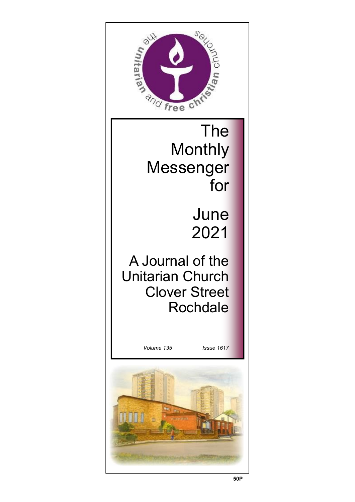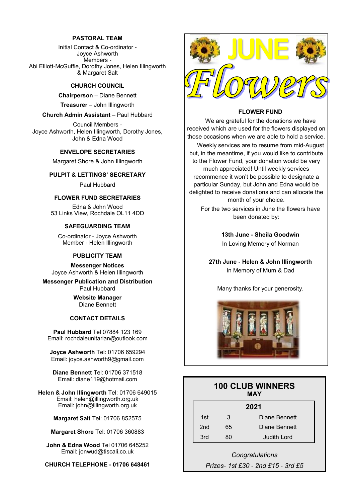#### **PASTORAL TEAM**

Initial Contact & Co-ordinator - Joyce Ashworth Members - Abi Elliott-McGuffie, Dorothy Jones, Helen Illingworth & Margaret Salt

#### **CHURCH COUNCIL**

**Chairperson** – Diane Bennett

**Treasurer** – John Illingworth

#### **Church Admin Assistant** – Paul Hubbard

Council Members - Joyce Ashworth, Helen Illingworth, Dorothy Jones, John & Edna Wood

#### **ENVELOPE SECRETARIES**

Margaret Shore & John Illingworth

#### **PULPIT & LETTINGS' SECRETARY**

Paul Hubbard

#### **FLOWER FUND SECRETARIES**

Edna & John Wood 53 Links View, Rochdale OL11 4DD

#### **SAFEGUARDING TEAM**

Co-ordinator - Joyce Ashworth Member - Helen Illingworth

#### **PUBLICITY TEAM**

**Messenger Notices** Joyce Ashworth & Helen Illingworth

**Messenger Publication and Distribution** Paul Hubbard

> **Website Manager**  Diane Bennett

#### **CONTACT DETAILS**

**Paul Hubbard** Tel 07884 123 169 Email: rochdaleunitarian@outlook.com

**Joyce Ashworth** Tel: 01706 659294 Email: joyce.ashworth9@gmail.com

**Diane Bennett** Tel: 01706 371518 Email: diane119@hotmail.com

**Helen & John Illingworth** Tel: 01706 649015 Email: helen@illingworth.org.uk Email: john@illingworth.org.uk

**Margaret Salt** Tel: 01706 852575

**Margaret Shore** Tel: 01706 360883

**John & Edna Wood** Tel 01706 645252 Email: jonwud@tiscali.co.uk

**CHURCH TELEPHONE - 01706 648461**



#### **FLOWER FUND**

We are grateful for the donations we have received which are used for the flowers displayed on those occasions when we are able to hold a service.

Weekly services are to resume from mid-August but, in the meantime, if you would like to contribute to the Flower Fund, your donation would be very much appreciated! Until weekly services recommence it won't be possible to designate a particular Sunday, but John and Edna would be delighted to receive donations and can allocate the month of your choice.

For the two services in June the flowers have been donated by:

> **13th June - Sheila Goodwin** In Loving Memory of Norman

**27th June - Helen & John Illingworth** In Memory of Mum & Dad

Many thanks for your generosity.



| <b>100 CLUB WINNERS</b><br>MAY |    |                    |  |  |
|--------------------------------|----|--------------------|--|--|
| 2021                           |    |                    |  |  |
| 1st                            | 3  | Diane Bennett      |  |  |
| 2nd                            | 65 | Diane Bennett      |  |  |
| 3rd                            | 80 | <b>Judith Lord</b> |  |  |

*Congratulations Prizes- 1st £30 - 2nd £15 - 3rd £5*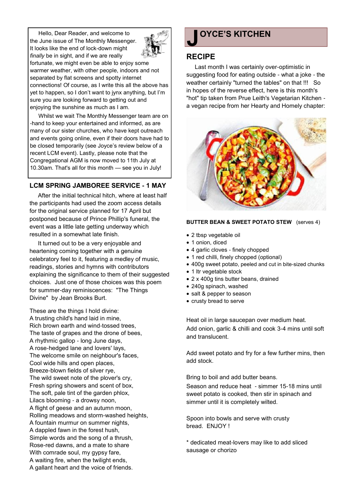Hello, Dear Reader, and welcome to the June issue of The Monthly Messenger. It looks like the end of lock-down might *finally* be in sight, and if we are really



fortunate, we might even be able to enjoy some warmer weather, with other people, indoors and not separated by flat screens and spotty internet connections! Of course, as I write this all the above has yet to happen, so I don't want to jynx anything, but I'm sure you are looking forward to getting out and enjoying the sunshine as much as I am.

Whilst we wait The Monthly Messenger team are on -hand to keep your entertained and informed, as are many of our sister churches, who have kept outreach and events going online, even if their doors have had to be closed temporarily (see Joyce's review below of a recent LCM event). Lastly, please note that the Congregational AGM is now moved to 11th July at 10.30am. That's all for this month — see you in July!

### **LCM SPRING JAMBOREE SERVICE - 1 MAY**

After the initial technical hitch, where at least half the participants had used the zoom access details for the original service planned for 17 April but postponed because of Prince Phillip's funeral, the event was a little late getting underway which resulted in a somewhat late finish.

It turned out to be a very enjoyable and heartening coming together with a genuine celebratory feel to it, featuring a medley of music, readings, stories and hymns with contributors explaining the significance to them of their suggested choices. Just one of those choices was this poem for summer-day reminiscences: "The Things Divine" by Jean Brooks Burt.

These are the things I hold divine: A trusting child's hand laid in mine, Rich brown earth and wind-tossed trees, The taste of grapes and the drone of bees, A rhythmic gallop - long June days, A rose-hedged lane and lovers' lays, The welcome smile on neighbour's faces, Cool wide hills and open places, Breeze-blown fields of silver rye, The wild sweet note of the plover's cry, Fresh spring showers and scent of box, The soft, pale tint of the garden phlox, Lilacs blooming - a drowsy noon, A flight of geese and an autumn moon, Rolling meadows and storm-washed heights, A fountain murmur on summer nights, A dappled fawn in the forest hush, Simple words and the song of a thrush, Rose-red dawns, and a mate to share With comrade soul, my gypsy fare, A waiting fire, when the twilight ends, A gallant heart and the voice of friends.

# **J OYCE'S KITCHEN**

## **RECIPE**

Last month I was certainly over-optimistic in suggesting food for eating outside - what a joke - the weather certainly "turned the tables" on that !!! So in hopes of the reverse effect, here is this month's "hot" tip taken from Prue Leith's Vegetarian Kitchen a vegan recipe from her Hearty and Homely chapter:



#### **BUTTER BEAN & SWEET POTATO STEW** (serves 4)

- 2 tbsp vegetable oil
- 1 onion, diced
- 4 garlic cloves finely chopped
- 1 red chilli, finely chopped (optional)
- 400g sweet potato, peeled and cut in bite-sized chunks
- 1 ltr vegetable stock
- 2 x 400g tins butter beans, drained
- 240g spinach, washed
- salt & pepper to season
- crusty bread to serve

Heat oil in large saucepan over medium heat. Add onion, garlic & chilli and cook 3-4 mins until soft and translucent.

Add sweet potato and fry for a few further mins, then add stock.

Bring to boil and add butter beans.

Season and reduce heat - simmer 15-18 mins until sweet potato is cooked, then stir in spinach and simmer until it is completely wilted.

Spoon into bowls and serve with crusty bread. ENJOY !

\* dedicated meat-lovers may like to add sliced sausage or chorizo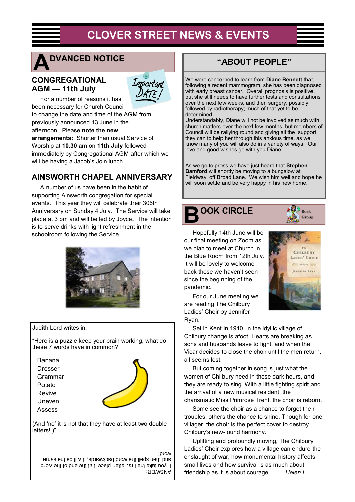# **CLOVER STREET NEWS & EVENTS**



# **DVANCED NOTICE**

## **CONGREGATIONAL AGM — 11th July**



For a number of reasons it has been necessary for Church Council to change the date and time of the AGM from previously announced 13 June in the afternoon. Please **note the new arrangements:** Shorter than usual Service of Worship at **10.30 am** on **11th July** followed immediately by Congregational AGM after which we will be having a Jacob's Join lunch.

## **AINSWORTH CHAPEL ANNIVERSARY**

A number of us have been in the habit of supporting Ainsworth congregation for special events. This year they will celebrate their 306th Anniversary on Sunday 4 July. The Service will take place at 3 pm and will be led by Joyce. The intention is to serve drinks with light refreshment in the schoolroom following the Service.



Judith Lord writes in:

"Here is a puzzle keep your brain working, what do these 7 words have in common?

Banana Dresser Grammar Potato Revive Uneven Assess



(And 'no' it is not that they have at least two double letters!.)"

#### word!

ANSWER: If you take the first letter, place it at the end of the word and then spell the word backwards, it will be the same

## **"ABOUT PEOPLE"**

We were concerned to learn from **Diane Bennett** that, following a recent mammogram, she has been diagnosed with early breast cancer. Overall prognosis is positive, but she still needs to have further tests and consultations over the next few weeks, and then surgery, possibly followed by radiotherapy; much of that yet to be determined.

Understandably, Diane will not be involved as much with church matters over the next few months, but members of Council will be rallying round and giving all the support they can to help her through this anxious time, as we know many of you will also do in a variety of ways. Our love and good wishes go with you Diane.

As we go to press we have just heard that **Stephen Bamford** will shortly be moving to a bungalow at Fieldway, off Broad Lane. We wish him well and hope he will soon settle and be very happy in his new home.



 $\langle \mathcal{G} \rangle$  Book Group

Hopefully 14th June will be our final meeting on Zoom as we plan to meet at Church in the Blue Room from 12th July. It will be lovely to welcome back those we haven't seen since the beginning of the pandemic.



For our June meeting we are reading The Chilbury Ladies' Choir by Jennifer Ryan.

Set in Kent in 1940, in the idyllic village of Chilbury change is afoot. Hearts are breaking as sons and husbands leave to fight, and when the Vicar decides to close the choir until the men return, all seems lost.

But coming together in song is just what the women of Chilbury need in these dark hours, and they are ready to sing. With a little fighting spirit and the arrival of a new musical resident, the charismatic Miss Primrose Trent, the choir is reborn.

Some see the choir as a chance to forget their troubles, others the chance to shine. Though for one villager, the choir is the perfect cover to destroy Chilbury's new-found harmony.

Uplifting and profoundly moving, The Chilbury Ladies' Choir explores how a village can endure the onslaught of war, how monumental history affects small lives and how survival is as much about friendship as it is about courage. *Helen I*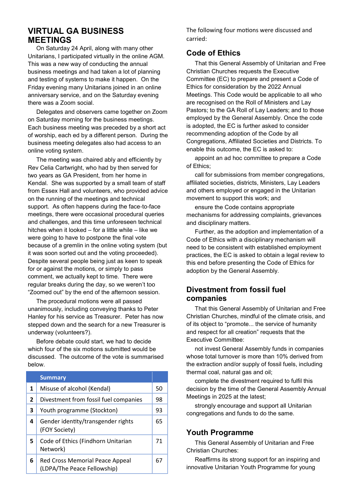## **VIRTUAL GA BUSINESS MEETINGS**

On Saturday 24 April, along with many other Unitarians, I participated virtually in the online AGM. This was a new way of conducting the annual business meetings and had taken a lot of planning and testing of systems to make it happen. On the Friday evening many Unitarians joined in an online anniversary service, and on the Saturday evening there was a Zoom social.

Delegates and observers came together on Zoom on Saturday morning for the business meetings. Each business meeting was preceded by a short act of worship, each ed by a different person. During the business meeting delegates also had access to an online voting system.

The meeting was chaired ably and efficiently by Rev Celia Cartwright, who had by then served for two years as GA President, from her home in Kendal. She was supported by a small team of staff from Essex Hall and volunteers, who provided advice on the running of the meetings and technical support. As often happens during the face-to-face meetings, there were occasional procedural queries and challenges, and this time unforeseen technical hitches when it looked – for a little while – like we were going to have to postpone the final vote because of a gremlin in the online voting system (but it was soon sorted out and the voting proceeded). Despite several people being just as keen to speak for or against the motions, or simply to pass comment, we actually kept to time. There were regular breaks during the day, so we weren't too "Zoomed out" by the end of the afternoon session.

The procedural motions were all passed unanimously, including conveying thanks to Peter Hanley for his service as Treasurer. Peter has now stepped down and the search for a new Treasurer is underway (volunteers?).

Before debate could start, we had to decide which four of the six motions submitted would be discussed. The outcome of the vote is summarised below.

|                | <b>Summary</b>                                                 |    |
|----------------|----------------------------------------------------------------|----|
| 1              | Misuse of alcohol (Kendal)                                     | 50 |
| $\overline{2}$ | Divestment from fossil fuel companies                          | 98 |
| 3              | Youth programme (Stockton)                                     | 93 |
| 4              | Gender identity/transgender rights<br>(FOY Society)            | 65 |
| 5.             | Code of Ethics (Findhorn Unitarian<br>Network)                 | 71 |
| 6              | Red Cross Memorial Peace Appeal<br>(LDPA/The Peace Fellowship) | 67 |

The following four motions were discussed and carried:

## **Code of Ethics**

That this General Assembly of Unitarian and Free Christian Churches requests the Executive Committee (EC) to prepare and present a Code of Ethics for consideration by the 2022 Annual Meetings. This Code would be applicable to all who are recognised on the Roll of Ministers and Lay Pastors; to the GA Roll of Lay Leaders; and to those employed by the General Assembly. Once the code is adopted, the EC is further asked to consider recommending adoption of the Code by all Congregations, Affiliated Societies and Districts. To enable this outcome, the EC is asked to:

appoint an ad hoc committee to prepare a Code of Ethics;

call for submissions from member congregations, affiliated societies, districts, Ministers, Lay Leaders and others employed or engaged in the Unitarian movement to support this work; and

ensure the Code contains appropriate mechanisms for addressing complaints, grievances and disciplinary matters.

Further, as the adoption and implementation of a Code of Ethics with a disciplinary mechanism will need to be consistent with established employment practices, the EC is asked to obtain a legal review to this end before presenting the Code of Ethics for adoption by the General Assembly.

## **Divestment from fossil fuel companies**

That this General Assembly of Unitarian and Free Christian Churches, mindful of the climate crisis, and of its object to "promote... the service of humanity and respect for all creation" requests that the Executive Committee:

not invest General Assembly funds in companies whose total turnover is more than 10% derived from the extraction and/or supply of fossil fuels, including thermal coal, natural gas and oil;

complete the divestment required to fulfil this decision by the time of the General Assembly Annual Meetings in 2025 at the latest;

strongly encourage and support all Unitarian congregations and funds to do the same.

## **Youth Programme**

This General Assembly of Unitarian and Free Christian Churches:

Reaffirms its strong support for an inspiring and innovative Unitarian Youth Programme for young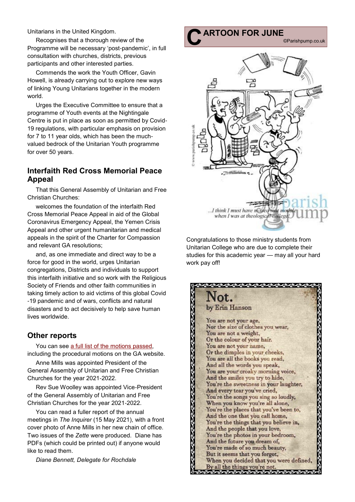Unitarians in the United Kingdom.

Recognises that a thorough review of the Programme will be necessary 'post-pandemic', in full consultation with churches, districts, previous participants and other interested parties.

Commends the work the Youth Officer, Gavin Howell, is already carrying out to explore new ways of linking Young Unitarians together in the modern world.

Urges the Executive Committee to ensure that a programme of Youth events at the Nightingale Centre is put in place as soon as permitted by Covid-19 regulations, with particular emphasis on provision for 7 to 11 year olds, which has been the muchvalued bedrock of the Unitarian Youth programme for over 50 years.

## **Interfaith Red Cross Memorial Peace Appeal**

That this General Assembly of Unitarian and Free Christian Churches:

welcomes the foundation of the interfaith Red Cross Memorial Peace Appeal in aid of the Global Coronavirus Emergency Appeal, the Yemen Crisis Appeal and other urgent humanitarian and medical appeals in the spirit of the Charter for Compassion and relevant GA resolutions;

and, as one immediate and direct way to be a force for good in the world, urges Unitarian congregations, Districts and individuals to support this interfaith initiative and so work with the Religious Society of Friends and other faith communities in taking timely action to aid victims of this global Covid -19 pandemic and of wars, conflicts and natural disasters and to act decisively to help save human lives worldwide.

## **Other reports**

You can see [a full list of the motions passed,](https://www.unitarian.org.uk/wp-content/uploads/2021/04/Resolutions-from-the-2021-Annual-General-Meeting.pdf)  including the procedural motions on the GA website.

Anne Mills was appointed President of the General Assembly of Unitarian and Free Christian Churches for the year 2021-2022.

Rev Sue Woolley was appointed Vice-President of the General Assembly of Unitarian and Free Christian Churches for the year 2021-2022.

You can read a fuller report of the annual meetings in *The Inquirer* (15 May 2021), with a front cover photo of Anne Mills in her new chain of office. Two issues of the *Zette* were produced. Diane has PDFs (which could be printed out) if anyone would like to read them.

*Diane Bennett, Delegate for Rochdale*

# **C ARTOON FOR JUNE**

©Parishpump.co.uk



Congratulations to those ministry students from Unitarian College who are due to complete their studies for this academic year — may all your hard work pay off!